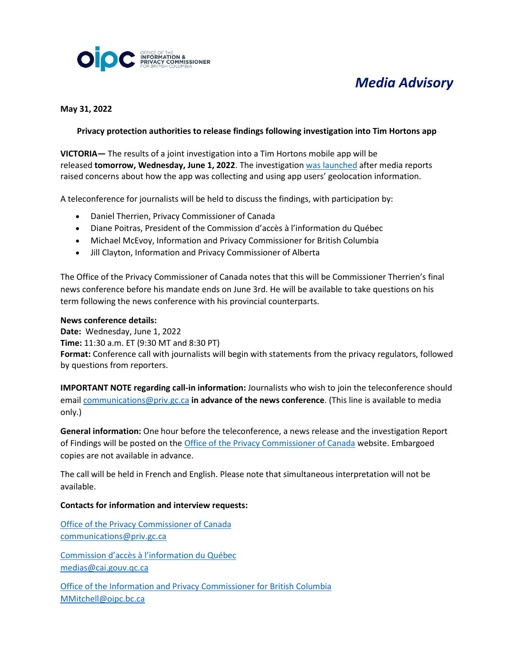

# *Media Advisory*

**May 31, 2022**

### **Privacy protection authorities to release findings following investigation into Tim Hortons app**

**VICTORIA—** The results of a joint investigation into a Tim Hortons mobile app will be released **tomorrow, Wednesday, June 1, 2022**. The investigatio[n was launched](https://priv.gc.ca/en/opc-news/news-and-announcements/2020/nr-c_200629/) after media reports raised concerns about how the app was collecting and using app users' geolocation information.

A teleconference for journalists will be held to discuss the findings, with participation by:

- Daniel Therrien, Privacy Commissioner of Canada
- Diane Poitras, President of the Commission d'accès à l'information du Québec
- Michael McEvoy, Information and Privacy Commissioner for British Columbia
- Jill Clayton, Information and Privacy Commissioner of Alberta

The Office of the Privacy Commissioner of Canada notes that this will be Commissioner Therrien's final news conference before his mandate ends on June 3rd. He will be available to take questions on his term following the news conference with his provincial counterparts.

#### **News conference details:**

**Date:** Wednesday, June 1, 2022 **Time:** 11:30 a.m. ET (9:30 MT and 8:30 PT) **Format:** Conference call with journalists will begin with statements from the privacy regulators, followed by questions from reporters.

**IMPORTANT NOTE regarding call-in information:** Journalists who wish to join the teleconference should email [communications@priv.gc.ca](mailto:communications@priv.gc.ca) **in advance of the news conference**. (This line is available to media only.)

**General information:** One hour before the teleconference, a news release and the investigation Report of Findings will be posted on the [Office of the Privacy Commissioner of Canada](https://www.priv.gc.ca/en/) website. Embargoed copies are not available in advance.

The call will be held in French and English. Please note that simultaneous interpretation will not be available.

#### **Contacts for information and interview requests:**

[Office of the Privacy Commissioner of Canada](https://www.priv.gc.ca/en/) [communications@priv.gc.ca](mailto:communications@priv.gc.ca)

[Commission d'accès à l'information du Québec](https://www.cai.gouv.qc.ca/) [medias@cai.gouv.qc.ca](mailto:medias@cai.gouv.qc.ca)

[Office of the Information and Privacy Commissioner for British Columbia](https://www.oipc.bc.ca/) [MMitchell@oipc.bc.ca](mailto:MMitchell@oipc.bc.ca)